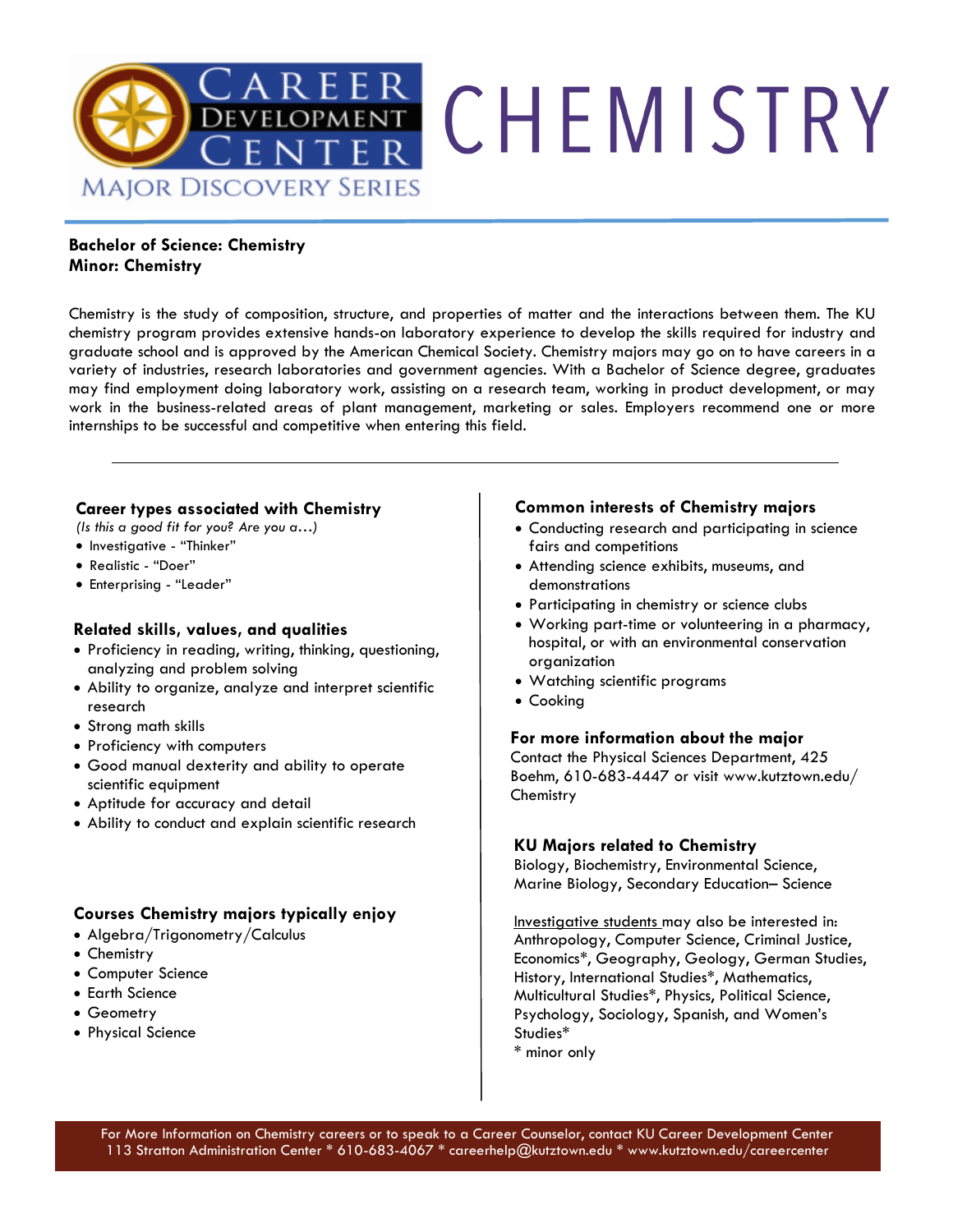

### **Bachelor of Science: Chemistry Minor: Chemistry**

Chemistry is the study of composition, structure, and properties of matter and the interactions between them. The KU chemistry program provides extensive hands-on laboratory experience to develop the skills required for industry and graduate school and is approved by the American Chemical Society. Chemistry majors may go on to have careers in a variety of industries, research laboratories and government agencies. With a Bachelor of Science degree, graduates may find employment doing laboratory work, assisting on a research team, working in product development, or may work in the business-related areas of plant management, marketing or sales. Employers recommend one or more internships to be successful and competitive when entering this field.

### **Career types associated with Chemistry**

*(Is this a good fit for you? Are you a…)* 

- Investigative "Thinker"
- Realistic "Doer"
- Enterprising "Leader"

### **Related skills, values, and qualities**

- Proficiency in reading, writing, thinking, questioning, analyzing and problem solving
- Ability to organize, analyze and interpret scientific research
- Strong math skills
- Proficiency with computers
- Good manual dexterity and ability to operate scientific equipment
- Aptitude for accuracy and detail
- Ability to conduct and explain scientific research

### **Courses Chemistry majors typically enjoy**

- Algebra/Trigonometry/Calculus
- Chemistry
- Computer Science
- Earth Science
- Geometry
- Physical Science

### **Common interests of Chemistry majors**

- Conducting research and participating in science fairs and competitions
- Attending science exhibits, museums, and demonstrations
- Participating in chemistry or science clubs
- Working part-time or volunteering in a pharmacy, hospital, or with an environmental conservation organization
- Watching scientific programs
- Cooking

### **For more information about the major**

Contact the Physical Sciences Department, 425 Boehm, 610-683-4447 or visit www.kutztown.edu/ **Chemistry** 

### **KU Majors related to Chemistry**

Biology, Biochemistry, Environmental Science, Marine Biology, Secondary Education– Science

Investigative students may also be interested in: Anthropology, Computer Science, Criminal Justice, Economics\*, Geography, Geology, German Studies, History, International Studies\*, Mathematics, Multicultural Studies\*, Physics, Political Science, Psychology, Sociology, Spanish, and Women's Studies\* \* minor only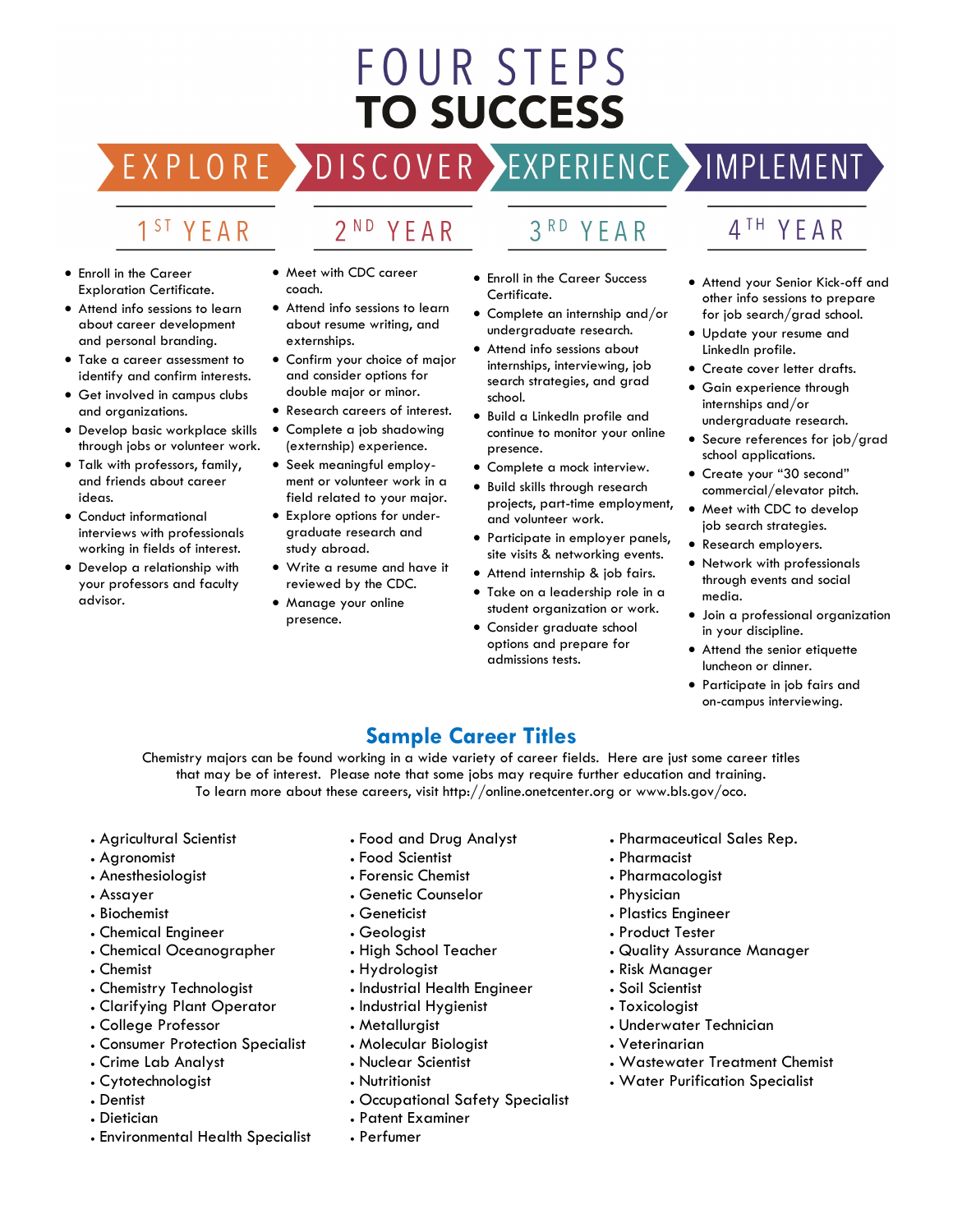# FOUR STEPS **TO SUCCESS**

# DISCOVER EXPERIENCE MOPLEMENT

2<sup>ND</sup> YEAR

### 1<sup>ST</sup> YEAR

EXPLORE >

- Enroll in the Career Exploration Certificate.
- Attend info sessions to learn about career development and personal branding.
- Take a career assessment to identify and confirm interests.
- Get involved in campus clubs and organizations.
- Develop basic workplace skills through jobs or volunteer work.
- Talk with professors, family, and friends about career ideas.
- Conduct informational interviews with professionals working in fields of interest.
- Develop a relationship with your professors and faculty advisor.
- Meet with CDC career coach.
- Attend info sessions to learn about resume writing, and externships.
- Confirm your choice of major and consider options for double major or minor.
- Research careers of interest. • Complete a job shadowing
- (externship) experience.
- Seek meaningful employment or volunteer work in a field related to your major.
- Explore options for undergraduate research and study abroad.
- Write a resume and have it reviewed by the CDC.
- Manage your online presence.

### 3RD YEAR

- Enroll in the Career Success Certificate.
- Complete an internship and/or undergraduate research.
- Attend info sessions about internships, interviewing, job search strategies, and grad school.
- Build a LinkedIn profile and continue to monitor your online presence.
- Complete a mock interview.
- projects, part-time employment,
- Participate in employer panels, site visits & networking events.
- Attend internship & job fairs.
- Take on a leadership role in a student organization or work.
- Consider graduate school options and prepare for admissions tests.

### 4TH YEAR

- Attend your Senior Kick-off and other info sessions to prepare for job search/grad school.
- Update your resume and LinkedIn profile.
- Create cover letter drafts.
- Gain experience through internships and/or undergraduate research.
- Secure references for job/grad school applications.
- Create your "30 second" commercial/elevator pitch.
- Meet with CDC to develop job search strategies.
- Research employers.
- Network with professionals through events and social media.
- Join a professional organization in your discipline.
- Attend the senior etiquette luncheon or dinner.
- Participate in job fairs and on-campus interviewing.

### **Sample Career Titles**

Chemistry majors can be found working in a wide variety of career fields. Here are just some career titles that may be of interest. Please note that some jobs may require further education and training. To learn more about these careers, visit http://online.onetcenter.org or www.bls.gov/oco.

- Agricultural Scientist
- Agronomist
- Anesthesiologist
- Assayer
- Biochemist
- Chemical Engineer
- Chemical Oceanographer
- Chemist
- Chemistry Technologist
- Clarifying Plant Operator
- College Professor
- Consumer Protection Specialist
- Crime Lab Analyst
- Cytotechnologist
- Dentist
- Dietician
- Environmental Health Specialist
- Food and Drug Analyst
- Food Scientist
- Forensic Chemist
- Genetic Counselor
- Geneticist
- Geologist
- High School Teacher
- Hydrologist
- Industrial Health Engineer
- Industrial Hygienist
- Metallurgist
- Molecular Biologist
- Nuclear Scientist
- Nutritionist
- Occupational Safety Specialist
- Patent Examiner
- Perfumer
- Pharmaceutical Sales Rep.
- Pharmacist
- Pharmacologist
- Physician
- Plastics Engineer
- Product Tester
- Quality Assurance Manager
- Risk Manager
- Soil Scientist
- Toxicologist
- Underwater Technician
- Veterinarian
- Wastewater Treatment Chemist
- Water Purification Specialist
- 
- 

## • Build skills through research and volunteer work.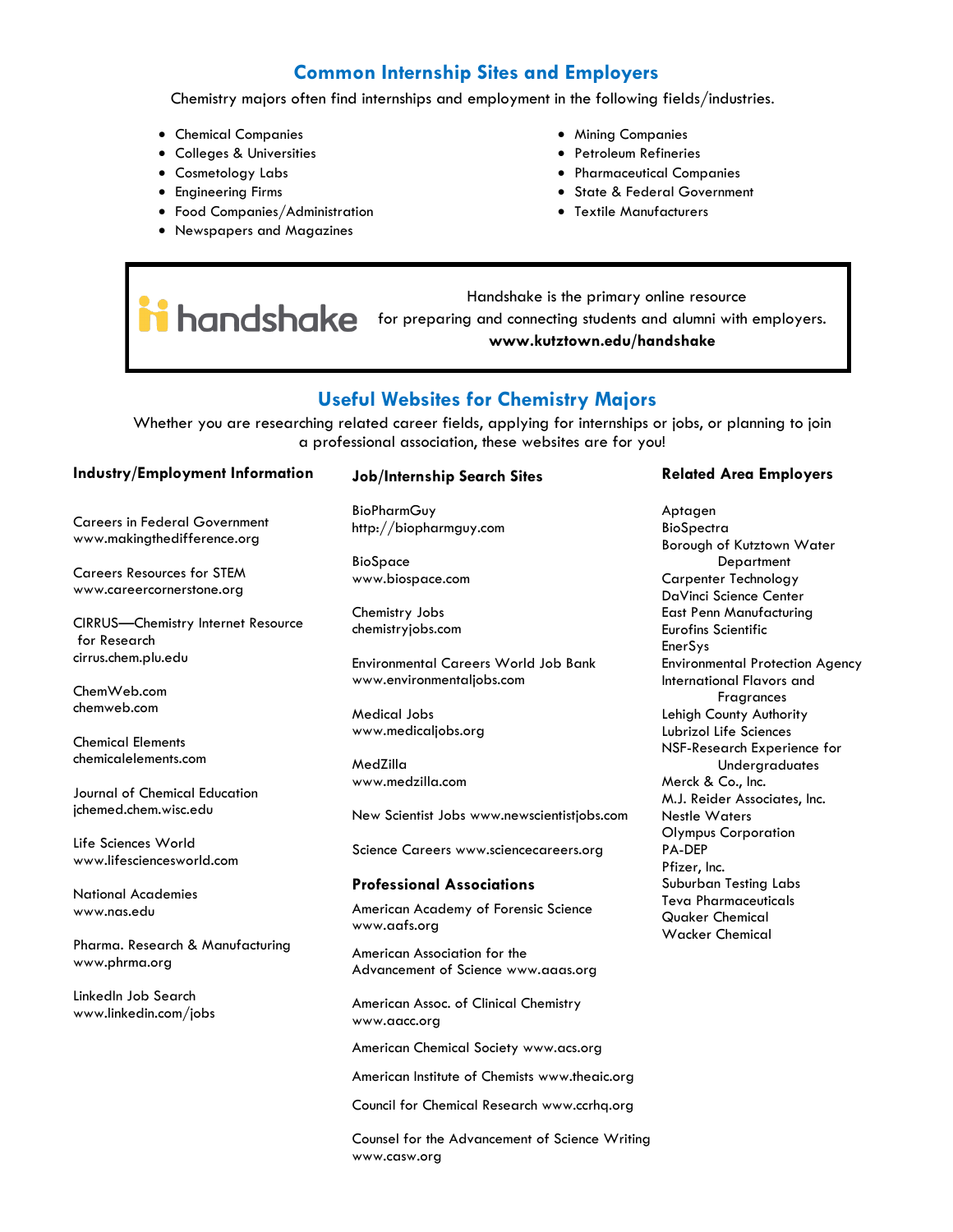### **Common Internship Sites and Employers**

Chemistry majors often find internships and employment in the following fields/industries.

- Chemical Companies
- Colleges & Universities
- Cosmetology Labs
- Engineering Firms
- Food Companies/Administration
- Newspapers and Magazines
- Mining Companies
- Petroleum Refineries
- Pharmaceutical Companies
- State & Federal Government
- Textile Manufacturers

 Handshake is the primary online resource **for handshake** for preparing and connecting students and alumni with employers. **www.kutztown.edu/handshake**

### **Useful Websites for Chemistry Majors**

Whether you are researching related career fields, applying for internships or jobs, or planning to join a professional association, these websites are for you!

#### **Industry/Employment Information**

Careers in Federal Government www.makingthedifference.org

Careers Resources for STEM www.careercornerstone.org

CIRRUS—Chemistry Internet Resource for Research cirrus.chem.plu.edu

ChemWeb.com chemweb.com

Chemical Elements chemicalelements.com

Journal of Chemical Education jchemed.chem.wisc.edu

Life Sciences World www.lifesciencesworld.com

National Academies www.nas.edu

Pharma. Research & Manufacturing www.phrma.org

LinkedIn Job Search www.linkedin.com/jobs

#### **Job/Internship Search Sites**

**BioPharmGuy** http://biopharmguy.com

BioSpace www.biospace.com

Chemistry Jobs chemistryjobs.com

Environmental Careers World Job Bank www.environmentaljobs.com

Medical Jobs www.medicaljobs.org

MedZilla www.medzilla.com

New Scientist Jobs www.newscientistjobs.com

Science Careers www.sciencecareers.org

#### **Professional Associations**

American Academy of Forensic Science www.aafs.org

American Association for the Advancement of Science www.aaas.org

American Assoc. of Clinical Chemistry www.aacc.org

American Chemical Society www.acs.org

American Institute of Chemists www.theaic.org

Council for Chemical Research www.ccrhq.org

Counsel for the Advancement of Science Writing www.casw.org

#### **Related Area Employers**

Aptagen BioSpectra Borough of Kutztown Water **Department** Carpenter Technology DaVinci Science Center East Penn Manufacturing Eurofins Scientific EnerSys Environmental Protection Agency International Flavors and **Fragrances** Lehigh County Authority Lubrizol Life Sciences NSF-Research Experience for **Underaraduates** Merck & Co., Inc. M.J. Reider Associates, Inc. Nestle Waters Olympus Corporation PA-DEP Pfizer, Inc. Suburban Testing Labs Teva Pharmaceuticals Quaker Chemical Wacker Chemical